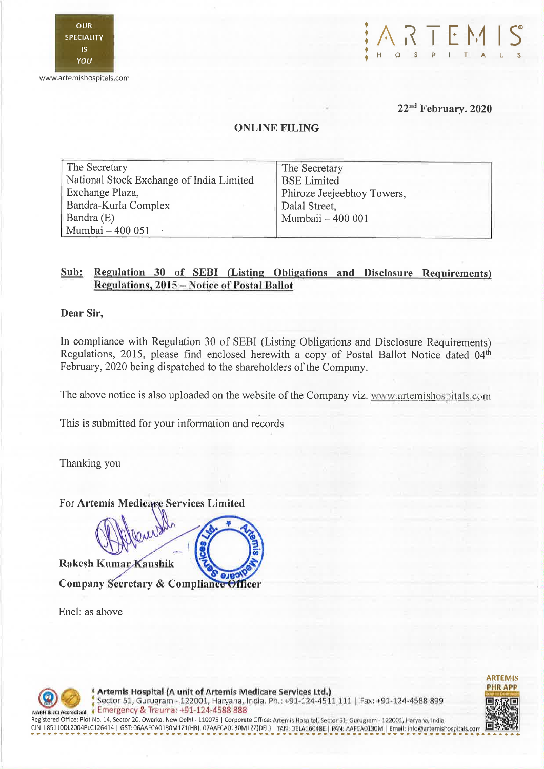

www.artemishospitals.com



#### 22"d February. 2020

#### ONLINE FILING

| The Secretary                            | The Secretary              |
|------------------------------------------|----------------------------|
| National Stock Exchange of India Limited | <b>BSE Limited</b>         |
| Exchange Plaza,                          | Phiroze Jeejeebhoy Towers, |
| Bandra-Kurla Complex                     | Dalal Street,              |
| Bandra (E)                               | Mumbaii - 400 001          |
| Mumbai - 400 051                         |                            |
|                                          |                            |

#### Sub: Regulation 30 of SEBI (Listing Obligations and Disclosure Requirements) Regulations, 2015 — Notice of Postal Ballot

Dear Sir,

In compliance with Regulation 30 of SEBI (Listing Obligations and Disclosure Requirements) Regulations, 2015, please find enclosed herewith a copy of Postal Ballot Notice dated 04<sup>th</sup> February, 2020 being dispatched to the shareholders of the Company.

The above notice is also uploaded on the website of the Company viz. www.artemishospitals.com

This is submitted for your information and records

Thanking you

For Artemis Medicare Services Limited

Rakesh Kumar Kaushik Company Secretary & Compliance Officer

Encl: as above



Artemis Hospital (A unit of Artemis Medicare Services Ltd.) Sector 51, Gurugram - 122001, Haryana, India. Ph.: +91-124-4511 111 | Fax: +91-124-4588 899 NABH & JG Accredited + Emergency & Trauma: +91-124-4588 888

Registered Office: Plot No. 14, Sector 20, Dwarka, New Delhi - 110075 | Corporate Office: Artemis Hospital, Sector 51, Gurugram - 122001, Haryana, India CI N: L85110DL2004PLC126414 I GST: 06AAFCA0130M1Z1(HR), 07AAFCA0130M1ZZ(DEL) I TAN: DELA1604/3E I PAN: AAPC,A0130M I Email! Info@ortemIshospittls.com • ........ • .

4%intrA

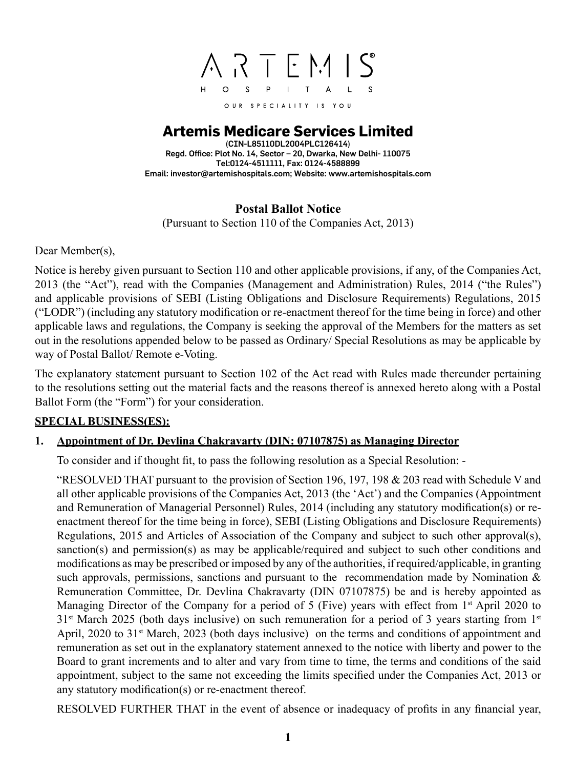

# **Artemis Medicare Services Limited**

(CIN-L85110DL2004PLC126414) Regd. Office: Plot No. 14, Sector – 20, Dwarka, New Delhi- 110075 Tel:0124-4511111, Fax: 0124-4588899 Email: investor@artemishospitals.com; Website: www.artemishospitals.com

# **Postal Ballot Notice**

(Pursuant to Section 110 of the Companies Act, 2013)

Dear Member(s),

Notice is hereby given pursuant to Section 110 and other applicable provisions, if any, of the Companies Act, 2013 (the "Act"), read with the Companies (Management and Administration) Rules, 2014 ("the Rules") and applicable provisions of SEBI (Listing Obligations and Disclosure Requirements) Regulations, 2015 ("LODR") (including any statutory modification or re-enactment thereof for the time being in force) and other applicable laws and regulations, the Company is seeking the approval of the Members for the matters as set out in the resolutions appended below to be passed as Ordinary/ Special Resolutions as may be applicable by way of Postal Ballot/ Remote e-Voting.

The explanatory statement pursuant to Section 102 of the Act read with Rules made thereunder pertaining to the resolutions setting out the material facts and the reasons thereof is annexed hereto along with a Postal Ballot Form (the "Form") for your consideration.

# **SPECIAL BUSINESS(ES):**

# **1. Appointment of Dr. Devlina Chakravarty (DIN: 07107875) as Managing Director**

To consider and if thought fit, to pass the following resolution as a Special Resolution: -

"RESOLVED THAT pursuant to the provision of Section 196, 197, 198 & 203 read with Schedule V and all other applicable provisions of the Companies Act, 2013 (the 'Act') and the Companies (Appointment and Remuneration of Managerial Personnel) Rules, 2014 (including any statutory modification(s) or reenactment thereof for the time being in force), SEBI (Listing Obligations and Disclosure Requirements) Regulations, 2015 and Articles of Association of the Company and subject to such other approval(s), sanction(s) and permission(s) as may be applicable/required and subject to such other conditions and modifications as may be prescribed or imposed by any of the authorities, if required/applicable, in granting such approvals, permissions, sanctions and pursuant to the recommendation made by Nomination  $\&$ Remuneration Committee, Dr. Devlina Chakravarty (DIN 07107875) be and is hereby appointed as Managing Director of the Company for a period of 5 (Five) years with effect from 1<sup>st</sup> April 2020 to  $31$ <sup>st</sup> March 2025 (both days inclusive) on such remuneration for a period of 3 years starting from  $1<sup>st</sup>$ April, 2020 to 31<sup>st</sup> March, 2023 (both days inclusive) on the terms and conditions of appointment and remuneration as set out in the explanatory statement annexed to the notice with liberty and power to the Board to grant increments and to alter and vary from time to time, the terms and conditions of the said appointment, subject to the same not exceeding the limits specified under the Companies Act, 2013 or any statutory modification(s) or re-enactment thereof.

RESOLVED FURTHER THAT in the event of absence or inadequacy of profits in any financial year,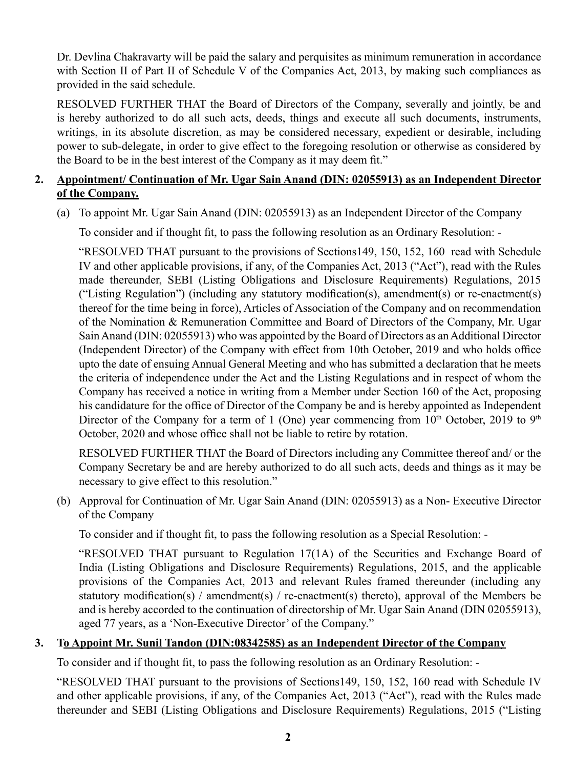Dr. Devlina Chakravarty will be paid the salary and perquisites as minimum remuneration in accordance with Section II of Part II of Schedule V of the Companies Act, 2013, by making such compliances as provided in the said schedule.

RESOLVED FURTHER THAT the Board of Directors of the Company, severally and jointly, be and is hereby authorized to do all such acts, deeds, things and execute all such documents, instruments, writings, in its absolute discretion, as may be considered necessary, expedient or desirable, including power to sub-delegate, in order to give effect to the foregoing resolution or otherwise as considered by the Board to be in the best interest of the Company as it may deem fit."

# **2. Appointment/ Continuation of Mr. Ugar Sain Anand (DIN: 02055913) as an Independent Director of the Company.**

(a) To appoint Mr. Ugar Sain Anand (DIN: 02055913) as an Independent Director of the Company

To consider and if thought fit, to pass the following resolution as an Ordinary Resolution: -

"RESOLVED THAT pursuant to the provisions of Sections149, 150, 152, 160 read with Schedule IV and other applicable provisions, if any, of the Companies Act, 2013 ("Act"), read with the Rules made thereunder, SEBI (Listing Obligations and Disclosure Requirements) Regulations, 2015 ("Listing Regulation") (including any statutory modification(s), amendment(s) or re-enactment(s) thereof for the time being in force), Articles of Association of the Company and on recommendation of the Nomination & Remuneration Committee and Board of Directors of the Company, Mr. Ugar Sain Anand (DIN: 02055913) who was appointed by the Board of Directors as an Additional Director (Independent Director) of the Company with effect from 10th October, 2019 and who holds office upto the date of ensuing Annual General Meeting and who has submitted a declaration that he meets the criteria of independence under the Act and the Listing Regulations and in respect of whom the Company has received a notice in writing from a Member under Section 160 of the Act, proposing his candidature for the office of Director of the Company be and is hereby appointed as Independent Director of the Company for a term of 1 (One) year commencing from  $10<sup>th</sup>$  October, 2019 to 9<sup>th</sup> October, 2020 and whose office shall not be liable to retire by rotation.

RESOLVED FURTHER THAT the Board of Directors including any Committee thereof and/ or the Company Secretary be and are hereby authorized to do all such acts, deeds and things as it may be necessary to give effect to this resolution."

(b) Approval for Continuation of Mr. Ugar Sain Anand (DIN: 02055913) as a Non- Executive Director of the Company

To consider and if thought fit, to pass the following resolution as a Special Resolution: -

"RESOLVED THAT pursuant to Regulation 17(1A) of the Securities and Exchange Board of India (Listing Obligations and Disclosure Requirements) Regulations, 2015, and the applicable provisions of the Companies Act, 2013 and relevant Rules framed thereunder (including any statutory modification(s) / amendment(s) / re-enactment(s) thereto), approval of the Members be and is hereby accorded to the continuation of directorship of Mr. Ugar Sain Anand (DIN 02055913), aged 77 years, as a 'Non-Executive Director' of the Company."

# **3. To Appoint Mr. Sunil Tandon (DIN:08342585) as an Independent Director of the Company**

To consider and if thought fit, to pass the following resolution as an Ordinary Resolution: -

"RESOLVED THAT pursuant to the provisions of Sections149, 150, 152, 160 read with Schedule IV and other applicable provisions, if any, of the Companies Act, 2013 ("Act"), read with the Rules made thereunder and SEBI (Listing Obligations and Disclosure Requirements) Regulations, 2015 ("Listing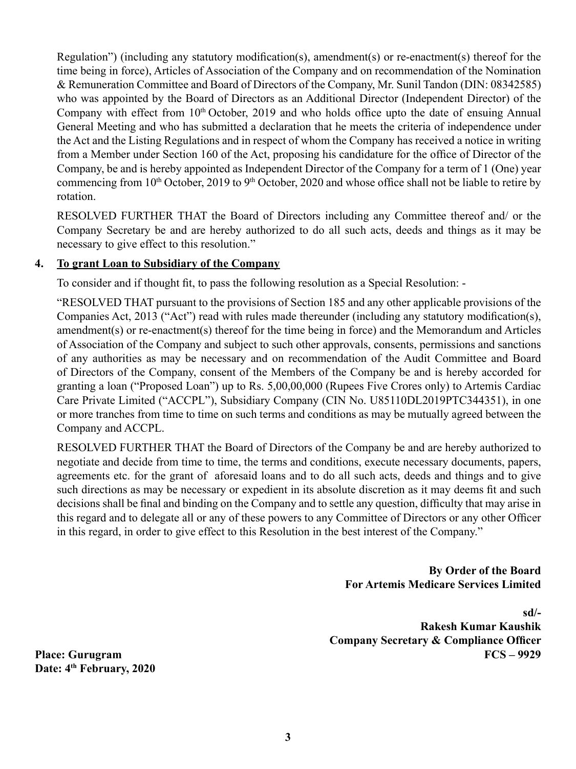Regulation") (including any statutory modification(s), amendment(s) or re-enactment(s) thereof for the time being in force), Articles of Association of the Company and on recommendation of the Nomination & Remuneration Committee and Board of Directors of the Company, Mr. Sunil Tandon (DIN: 08342585) who was appointed by the Board of Directors as an Additional Director (Independent Director) of the Company with effect from 10<sup>th</sup> October, 2019 and who holds office upto the date of ensuing Annual General Meeting and who has submitted a declaration that he meets the criteria of independence under the Act and the Listing Regulations and in respect of whom the Company has received a notice in writing from a Member under Section 160 of the Act, proposing his candidature for the office of Director of the Company, be and is hereby appointed as Independent Director of the Company for a term of 1 (One) year commencing from 10<sup>th</sup> October, 2019 to 9<sup>th</sup> October, 2020 and whose office shall not be liable to retire by rotation.

RESOLVED FURTHER THAT the Board of Directors including any Committee thereof and/ or the Company Secretary be and are hereby authorized to do all such acts, deeds and things as it may be necessary to give effect to this resolution."

# **4. To grant Loan to Subsidiary of the Company**

To consider and if thought fit, to pass the following resolution as a Special Resolution: -

"RESOLVED THAT pursuant to the provisions of Section 185 and any other applicable provisions of the Companies Act, 2013 ("Act") read with rules made thereunder (including any statutory modification(s), amendment(s) or re-enactment(s) thereof for the time being in force) and the Memorandum and Articles of Association of the Company and subject to such other approvals, consents, permissions and sanctions of any authorities as may be necessary and on recommendation of the Audit Committee and Board of Directors of the Company, consent of the Members of the Company be and is hereby accorded for granting a loan ("Proposed Loan") up to Rs. 5,00,00,000 (Rupees Five Crores only) to Artemis Cardiac Care Private Limited ("ACCPL"), Subsidiary Company (CIN No. U85110DL2019PTC344351), in one or more tranches from time to time on such terms and conditions as may be mutually agreed between the Company and ACCPL.

RESOLVED FURTHER THAT the Board of Directors of the Company be and are hereby authorized to negotiate and decide from time to time, the terms and conditions, execute necessary documents, papers, agreements etc. for the grant of aforesaid loans and to do all such acts, deeds and things and to give such directions as may be necessary or expedient in its absolute discretion as it may deems fit and such decisions shall be final and binding on the Company and to settle any question, difficulty that may arise in this regard and to delegate all or any of these powers to any Committee of Directors or any other Officer in this regard, in order to give effect to this Resolution in the best interest of the Company."

> **By Order of the Board For Artemis Medicare Services Limited**

 **sd/- Rakesh Kumar Kaushik Company Secretary & Compliance Officer Place: Gurugram FCS – 9929**

**Date: 4th February, 2020**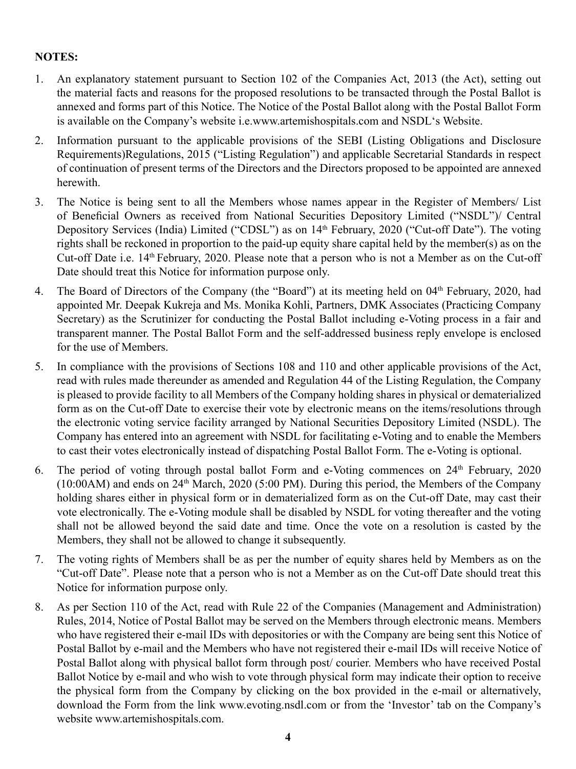# **NOTES:**

- 1. An explanatory statement pursuant to Section 102 of the Companies Act, 2013 (the Act), setting out the material facts and reasons for the proposed resolutions to be transacted through the Postal Ballot is annexed and forms part of this Notice. The Notice of the Postal Ballot along with the Postal Ballot Form is available on the Company's website i.e.www.artemishospitals.com and NSDL's Website.
- 2. Information pursuant to the applicable provisions of the SEBI (Listing Obligations and Disclosure Requirements)Regulations, 2015 ("Listing Regulation") and applicable Secretarial Standards in respect of continuation of present terms of the Directors and the Directors proposed to be appointed are annexed herewith.
- 3. The Notice is being sent to all the Members whose names appear in the Register of Members/ List of Beneficial Owners as received from National Securities Depository Limited ("NSDL")/ Central Depository Services (India) Limited ("CDSL") as on 14<sup>th</sup> February, 2020 ("Cut-off Date"). The voting rights shall be reckoned in proportion to the paid-up equity share capital held by the member(s) as on the Cut-off Date i.e. 14<sup>th</sup> February, 2020. Please note that a person who is not a Member as on the Cut-off Date should treat this Notice for information purpose only.
- 4. The Board of Directors of the Company (the "Board") at its meeting held on 04th February, 2020, had appointed Mr. Deepak Kukreja and Ms. Monika Kohli, Partners, DMK Associates (Practicing Company Secretary) as the Scrutinizer for conducting the Postal Ballot including e-Voting process in a fair and transparent manner. The Postal Ballot Form and the self-addressed business reply envelope is enclosed for the use of Members.
- 5. In compliance with the provisions of Sections 108 and 110 and other applicable provisions of the Act, read with rules made thereunder as amended and Regulation 44 of the Listing Regulation, the Company is pleased to provide facility to all Members of the Company holding shares in physical or dematerialized form as on the Cut-off Date to exercise their vote by electronic means on the items/resolutions through the electronic voting service facility arranged by National Securities Depository Limited (NSDL). The Company has entered into an agreement with NSDL for facilitating e-Voting and to enable the Members to cast their votes electronically instead of dispatching Postal Ballot Form. The e-Voting is optional.
- 6. The period of voting through postal ballot Form and e-Voting commences on 24th February, 2020 (10:00AM) and ends on 24th March, 2020 (5:00 PM). During this period, the Members of the Company holding shares either in physical form or in dematerialized form as on the Cut-off Date, may cast their vote electronically. The e-Voting module shall be disabled by NSDL for voting thereafter and the voting shall not be allowed beyond the said date and time. Once the vote on a resolution is casted by the Members, they shall not be allowed to change it subsequently.
- 7. The voting rights of Members shall be as per the number of equity shares held by Members as on the "Cut-off Date". Please note that a person who is not a Member as on the Cut-off Date should treat this Notice for information purpose only.
- 8. As per Section 110 of the Act, read with Rule 22 of the Companies (Management and Administration) Rules, 2014, Notice of Postal Ballot may be served on the Members through electronic means. Members who have registered their e-mail IDs with depositories or with the Company are being sent this Notice of Postal Ballot by e-mail and the Members who have not registered their e-mail IDs will receive Notice of Postal Ballot along with physical ballot form through post/ courier. Members who have received Postal Ballot Notice by e-mail and who wish to vote through physical form may indicate their option to receive the physical form from the Company by clicking on the box provided in the e-mail or alternatively, download the Form from the link www.evoting.nsdl.com or from the 'Investor' tab on the Company's website www.artemishospitals.com.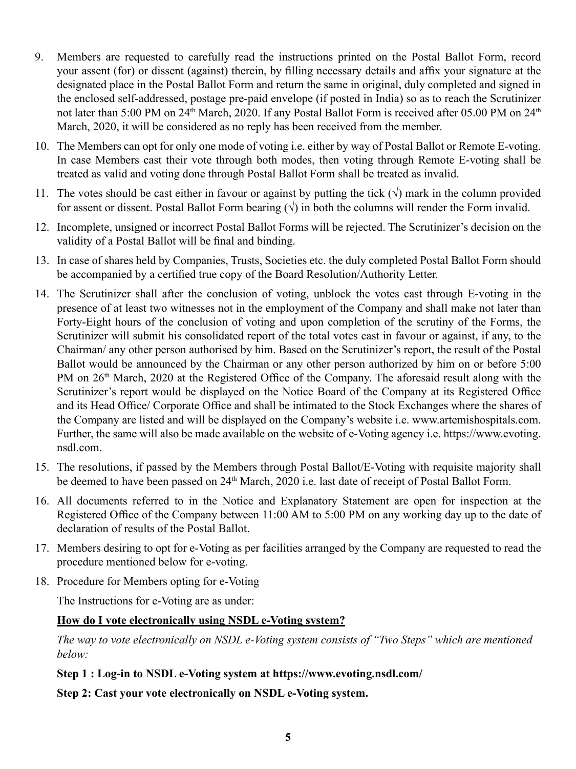- 9. Members are requested to carefully read the instructions printed on the Postal Ballot Form, record your assent (for) or dissent (against) therein, by filling necessary details and affix your signature at the designated place in the Postal Ballot Form and return the same in original, duly completed and signed in the enclosed self-addressed, postage pre-paid envelope (if posted in India) so as to reach the Scrutinizer not later than 5:00 PM on 24<sup>th</sup> March, 2020. If any Postal Ballot Form is received after 05.00 PM on 24<sup>th</sup> March, 2020, it will be considered as no reply has been received from the member.
- 10. The Members can opt for only one mode of voting i.e. either by way of Postal Ballot or Remote E-voting. In case Members cast their vote through both modes, then voting through Remote E-voting shall be treated as valid and voting done through Postal Ballot Form shall be treated as invalid.
- 11. The votes should be cast either in favour or against by putting the tick  $(\sqrt{})$  mark in the column provided for assent or dissent. Postal Ballot Form bearing  $(\sqrt{)}$  in both the columns will render the Form invalid.
- 12. Incomplete, unsigned or incorrect Postal Ballot Forms will be rejected. The Scrutinizer's decision on the validity of a Postal Ballot will be final and binding.
- 13. In case of shares held by Companies, Trusts, Societies etc. the duly completed Postal Ballot Form should be accompanied by a certified true copy of the Board Resolution/Authority Letter.
- 14. The Scrutinizer shall after the conclusion of voting, unblock the votes cast through E-voting in the presence of at least two witnesses not in the employment of the Company and shall make not later than Forty-Eight hours of the conclusion of voting and upon completion of the scrutiny of the Forms, the Scrutinizer will submit his consolidated report of the total votes cast in favour or against, if any, to the Chairman/ any other person authorised by him. Based on the Scrutinizer's report, the result of the Postal Ballot would be announced by the Chairman or any other person authorized by him on or before 5:00 PM on 26<sup>th</sup> March, 2020 at the Registered Office of the Company. The aforesaid result along with the Scrutinizer's report would be displayed on the Notice Board of the Company at its Registered Office and its Head Office/ Corporate Office and shall be intimated to the Stock Exchanges where the shares of the Company are listed and will be displayed on the Company's website i.e. www.artemishospitals.com. Further, the same will also be made available on the website of e-Voting agency i.e. https://www.evoting. nsdl.com.
- 15. The resolutions, if passed by the Members through Postal Ballot/E-Voting with requisite majority shall be deemed to have been passed on 24<sup>th</sup> March, 2020 i.e. last date of receipt of Postal Ballot Form.
- 16. All documents referred to in the Notice and Explanatory Statement are open for inspection at the Registered Office of the Company between 11:00 AM to 5:00 PM on any working day up to the date of declaration of results of the Postal Ballot.
- 17. Members desiring to opt for e-Voting as per facilities arranged by the Company are requested to read the procedure mentioned below for e-voting.
- 18. Procedure for Members opting for e-Voting

The Instructions for e-Voting are as under:

# **How do I vote electronically using NSDL e-Voting system?**

*The way to vote electronically on NSDL e-Voting system consists of "Two Steps" which are mentioned below:*

# **Step 1 : Log-in to NSDL e-Voting system at https://www.evoting.nsdl.com/**

**Step 2: Cast your vote electronically on NSDL e-Voting system.**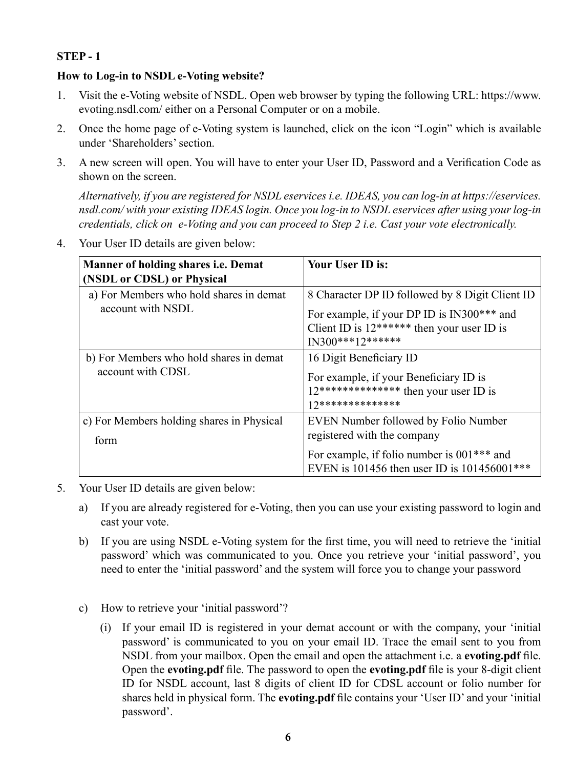# **STEP - 1**

# **How to Log-in to NSDL e-Voting website?**

- 1. Visit the e-Voting website of NSDL. Open web browser by typing the following URL: https://www. evoting.nsdl.com/ either on a Personal Computer or on a mobile.
- 2. Once the home page of e-Voting system is launched, click on the icon "Login" which is available under 'Shareholders' section.
- 3. A new screen will open. You will have to enter your User ID, Password and a Verification Code as shown on the screen.

*Alternatively, if you are registered for NSDL eservices i.e. IDEAS, you can log-in at https://eservices. nsdl.com/ with your existing IDEAS login. Once you log-in to NSDL eservices after using your log-in credentials, click on e-Voting and you can proceed to Step 2 i.e. Cast your vote electronically.*

4. Your User ID details are given below:

| <b>Manner of holding shares i.e. Demat</b><br>(NSDL or CDSL) or Physical | Your User ID is:                                                                                                                                                          |
|--------------------------------------------------------------------------|---------------------------------------------------------------------------------------------------------------------------------------------------------------------------|
| a) For Members who hold shares in demat<br>account with NSDL             | 8 Character DP ID followed by 8 Digit Client ID<br>For example, if your DP ID is IN300*** and<br>Client ID is $12*****$ then your user ID is<br>$IN300***12******$        |
| b) For Members who hold shares in demat<br>account with CDSL             | 16 Digit Beneficiary ID<br>For example, if your Beneficiary ID is<br>$12***************$ then your user ID is<br>12***************                                        |
| c) For Members holding shares in Physical<br>form                        | <b>EVEN Number followed by Folio Number</b><br>registered with the company<br>For example, if folio number is $001***$ and<br>EVEN is 101456 then user ID is 101456001*** |

- 5. Your User ID details are given below:
	- a) If you are already registered for e-Voting, then you can use your existing password to login and cast your vote.
	- b) If you are using NSDL e-Voting system for the first time, you will need to retrieve the 'initial password' which was communicated to you. Once you retrieve your 'initial password', you need to enter the 'initial password' and the system will force you to change your password
	- c) How to retrieve your 'initial password'?
		- (i) If your email ID is registered in your demat account or with the company, your 'initial password' is communicated to you on your email ID. Trace the email sent to you from NSDL from your mailbox. Open the email and open the attachment i.e. a **evoting.pdf** file. Open the **evoting.pdf** file. The password to open the **evoting.pdf** file is your 8-digit client ID for NSDL account, last 8 digits of client ID for CDSL account or folio number for shares held in physical form. The **evoting.pdf** file contains your 'User ID' and your 'initial password'.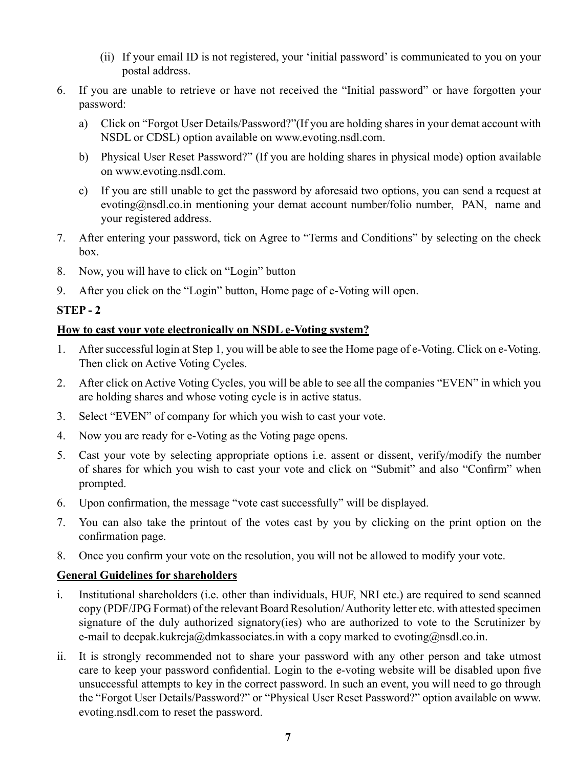- (ii) If your email ID is not registered, your 'initial password' is communicated to you on your postal address.
- 6. If you are unable to retrieve or have not received the "Initial password" or have forgotten your password:
	- a) Click on "Forgot User Details/Password?"(If you are holding shares in your demat account with NSDL or CDSL) option available on www.evoting.nsdl.com.
	- b) Physical User Reset Password?" (If you are holding shares in physical mode) option available on www.evoting.nsdl.com.
	- c) If you are still unable to get the password by aforesaid two options, you can send a request at evoting@nsdl.co.in mentioning your demat account number/folio number, PAN, name and your registered address.
- 7. After entering your password, tick on Agree to "Terms and Conditions" by selecting on the check box.
- 8. Now, you will have to click on "Login" button
- 9. After you click on the "Login" button, Home page of e-Voting will open.

# **STEP - 2**

# **How to cast your vote electronically on NSDL e-Voting system?**

- 1. After successful login at Step 1, you will be able to see the Home page of e-Voting. Click on e-Voting. Then click on Active Voting Cycles.
- 2. After click on Active Voting Cycles, you will be able to see all the companies "EVEN" in which you are holding shares and whose voting cycle is in active status.
- 3. Select "EVEN" of company for which you wish to cast your vote.
- 4. Now you are ready for e-Voting as the Voting page opens.
- 5. Cast your vote by selecting appropriate options i.e. assent or dissent, verify/modify the number of shares for which you wish to cast your vote and click on "Submit" and also "Confirm" when prompted.
- 6. Upon confirmation, the message "vote cast successfully" will be displayed.
- 7. You can also take the printout of the votes cast by you by clicking on the print option on the confirmation page.
- 8. Once you confirm your vote on the resolution, you will not be allowed to modify your vote.

# **General Guidelines for shareholders**

- i. Institutional shareholders (i.e. other than individuals, HUF, NRI etc.) are required to send scanned copy (PDF/JPG Format) of the relevant Board Resolution/ Authority letter etc. with attested specimen signature of the duly authorized signatory(ies) who are authorized to vote to the Scrutinizer by e-mail to deepak.kukreja@dmkassociates.in with a copy marked to evoting@nsdl.co.in.
- ii. It is strongly recommended not to share your password with any other person and take utmost care to keep your password confidential. Login to the e-voting website will be disabled upon five unsuccessful attempts to key in the correct password. In such an event, you will need to go through the "Forgot User Details/Password?" or "Physical User Reset Password?" option available on www. evoting.nsdl.com to reset the password.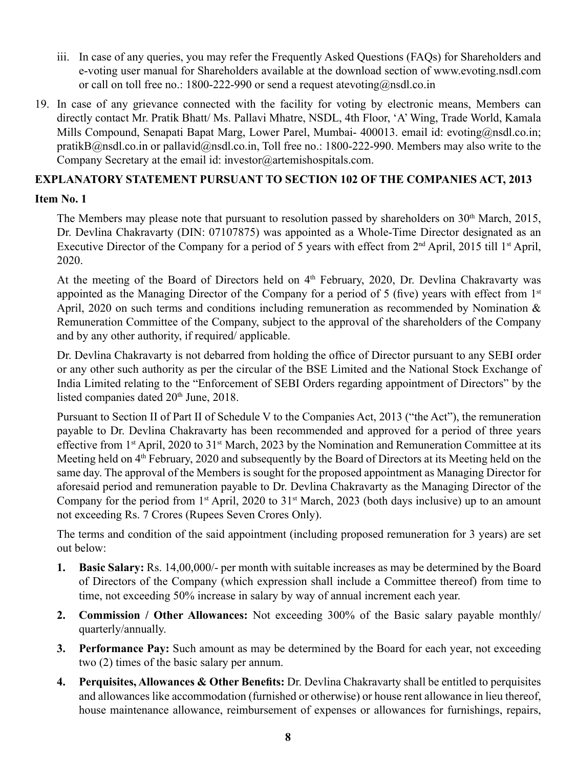- iii. In case of any queries, you may refer the Frequently Asked Questions (FAQs) for Shareholders and e-voting user manual for Shareholders available at the download section of www.evoting.nsdl.com or call on toll free no.: 1800-222-990 or send a request atevoting@nsdl.co.in
- 19. In case of any grievance connected with the facility for voting by electronic means, Members can directly contact Mr. Pratik Bhatt/ Ms. Pallavi Mhatre, NSDL, 4th Floor, 'A' Wing, Trade World, Kamala Mills Compound, Senapati Bapat Marg, Lower Parel, Mumbai- 400013. email id: evoting@nsdl.co.in; pratikB@nsdl.co.in or pallavid@nsdl.co.in, Toll free no.: 1800-222-990. Members may also write to the Company Secretary at the email id: investor@artemishospitals.com.

# **EXPLANATORY STATEMENT PURSUANT TO SECTION 102 OF THE COMPANIES ACT, 2013**

# **Item No. 1**

The Members may please note that pursuant to resolution passed by shareholders on  $30<sup>th</sup>$  March, 2015, Dr. Devlina Chakravarty (DIN: 07107875) was appointed as a Whole-Time Director designated as an Executive Director of the Company for a period of 5 years with effect from 2<sup>nd</sup> April, 2015 till 1<sup>st</sup> April, 2020.

At the meeting of the Board of Directors held on 4<sup>th</sup> February, 2020, Dr. Devlina Chakravarty was appointed as the Managing Director of the Company for a period of 5 (five) years with effect from 1<sup>st</sup> April, 2020 on such terms and conditions including remuneration as recommended by Nomination & Remuneration Committee of the Company, subject to the approval of the shareholders of the Company and by any other authority, if required/ applicable.

Dr. Devlina Chakravarty is not debarred from holding the office of Director pursuant to any SEBI order or any other such authority as per the circular of the BSE Limited and the National Stock Exchange of India Limited relating to the "Enforcement of SEBI Orders regarding appointment of Directors" by the listed companies dated 20<sup>th</sup> June, 2018.

Pursuant to Section II of Part II of Schedule V to the Companies Act, 2013 ("the Act"), the remuneration payable to Dr. Devlina Chakravarty has been recommended and approved for a period of three years effective from 1st April, 2020 to 31st March, 2023 by the Nomination and Remuneration Committee at its Meeting held on 4<sup>th</sup> February, 2020 and subsequently by the Board of Directors at its Meeting held on the same day. The approval of the Members is sought for the proposed appointment as Managing Director for aforesaid period and remuneration payable to Dr. Devlina Chakravarty as the Managing Director of the Company for the period from 1<sup>st</sup> April, 2020 to 31<sup>st</sup> March, 2023 (both days inclusive) up to an amount not exceeding Rs. 7 Crores (Rupees Seven Crores Only).

The terms and condition of the said appointment (including proposed remuneration for 3 years) are set out below:

- **1. Basic Salary:** Rs. 14,00,000/- per month with suitable increases as may be determined by the Board of Directors of the Company (which expression shall include a Committee thereof) from time to time, not exceeding 50% increase in salary by way of annual increment each year.
- **2. Commission / Other Allowances:** Not exceeding 300% of the Basic salary payable monthly/ quarterly/annually.
- **3. Performance Pay:** Such amount as may be determined by the Board for each year, not exceeding two (2) times of the basic salary per annum.
- **4. Perquisites, Allowances & Other Benefits:** Dr. Devlina Chakravarty shall be entitled to perquisites and allowances like accommodation (furnished or otherwise) or house rent allowance in lieu thereof, house maintenance allowance, reimbursement of expenses or allowances for furnishings, repairs,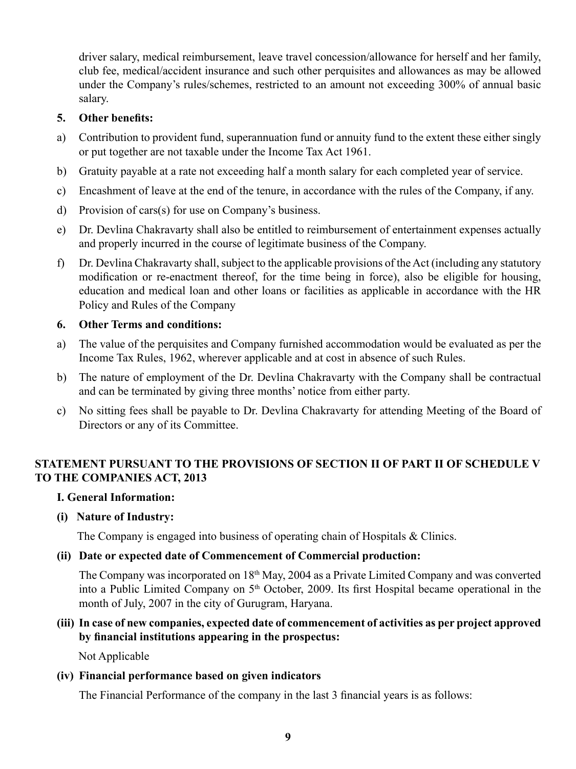driver salary, medical reimbursement, leave travel concession/allowance for herself and her family, club fee, medical/accident insurance and such other perquisites and allowances as may be allowed under the Company's rules/schemes, restricted to an amount not exceeding 300% of annual basic salary.

# **5. Other benefits:**

- a) Contribution to provident fund, superannuation fund or annuity fund to the extent these either singly or put together are not taxable under the Income Tax Act 1961.
- b) Gratuity payable at a rate not exceeding half a month salary for each completed year of service.
- c) Encashment of leave at the end of the tenure, in accordance with the rules of the Company, if any.
- d) Provision of cars(s) for use on Company's business.
- e) Dr. Devlina Chakravarty shall also be entitled to reimbursement of entertainment expenses actually and properly incurred in the course of legitimate business of the Company.
- f) Dr. Devlina Chakravarty shall, subject to the applicable provisions of the Act (including any statutory modification or re-enactment thereof, for the time being in force), also be eligible for housing, education and medical loan and other loans or facilities as applicable in accordance with the HR Policy and Rules of the Company

# **6. Other Terms and conditions:**

- a) The value of the perquisites and Company furnished accommodation would be evaluated as per the Income Tax Rules, 1962, wherever applicable and at cost in absence of such Rules.
- b) The nature of employment of the Dr. Devlina Chakravarty with the Company shall be contractual and can be terminated by giving three months' notice from either party.
- c) No sitting fees shall be payable to Dr. Devlina Chakravarty for attending Meeting of the Board of Directors or any of its Committee.

# **STATEMENT PURSUANT TO THE PROVISIONS OF SECTION II OF PART II OF SCHEDULE V TO THE COMPANIES ACT, 2013**

# **I. General Information:**

# **(i) Nature of Industry:**

The Company is engaged into business of operating chain of Hospitals & Clinics.

# **(ii) Date or expected date of Commencement of Commercial production:**

The Company was incorporated on 18th May, 2004 as a Private Limited Company and was converted into a Public Limited Company on 5th October, 2009. Its first Hospital became operational in the month of July, 2007 in the city of Gurugram, Haryana.

# **(iii) In case of new companies, expected date of commencement of activities as per project approved by financial institutions appearing in the prospectus:**

Not Applicable

# **(iv) Financial performance based on given indicators**

The Financial Performance of the company in the last 3 financial years is as follows: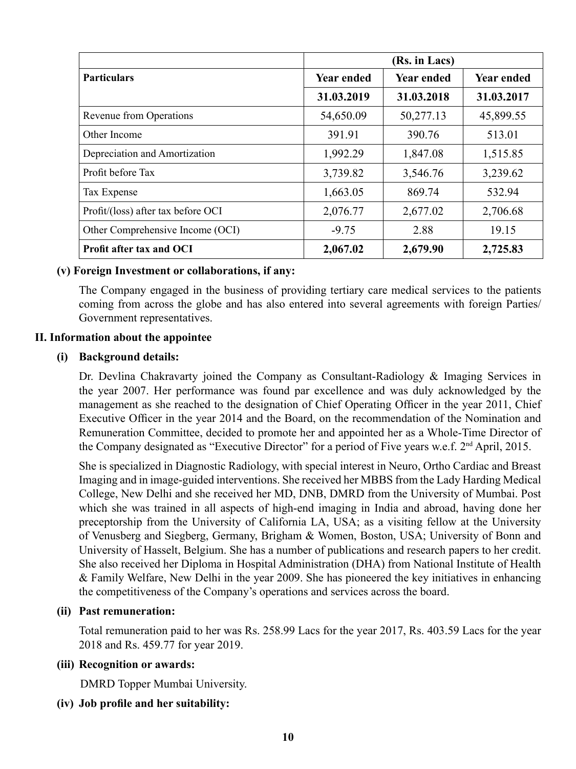|                                    | (Rs. in Lacs)     |                   |                   |
|------------------------------------|-------------------|-------------------|-------------------|
| <b>Particulars</b>                 | <b>Year ended</b> | <b>Year ended</b> | <b>Year ended</b> |
|                                    | 31.03.2019        | 31.03.2018        | 31.03.2017        |
| Revenue from Operations            | 54,650.09         | 50,277.13         | 45,899.55         |
| Other Income                       | 391.91            | 390.76            | 513.01            |
| Depreciation and Amortization      | 1,992.29          | 1,847.08          | 1,515.85          |
| Profit before Tax                  | 3,739.82          | 3,546.76          | 3,239.62          |
| Tax Expense                        | 1,663.05          | 869.74            | 532.94            |
| Profit/(loss) after tax before OCI | 2,076.77          | 2,677.02          | 2,706.68          |
| Other Comprehensive Income (OCI)   | $-9.75$           | 2.88              | 19.15             |
| <b>Profit after tax and OCI</b>    | 2,067.02          | 2,679.90          | 2,725.83          |

#### **(v) Foreign Investment or collaborations, if any:**

The Company engaged in the business of providing tertiary care medical services to the patients coming from across the globe and has also entered into several agreements with foreign Parties/ Government representatives.

#### **II. Information about the appointee**

#### **(i) Background details:**

Dr. Devlina Chakravarty joined the Company as Consultant-Radiology & Imaging Services in the year 2007. Her performance was found par excellence and was duly acknowledged by the management as she reached to the designation of Chief Operating Officer in the year 2011, Chief Executive Officer in the year 2014 and the Board, on the recommendation of the Nomination and Remuneration Committee, decided to promote her and appointed her as a Whole-Time Director of the Company designated as "Executive Director" for a period of Five years w.e.f. 2<sup>nd</sup> April, 2015.

She is specialized in Diagnostic Radiology, with special interest in Neuro, Ortho Cardiac and Breast Imaging and in image-guided interventions. She received her MBBS from the Lady Harding Medical College, New Delhi and she received her MD, DNB, DMRD from the University of Mumbai. Post which she was trained in all aspects of high-end imaging in India and abroad, having done her preceptorship from the University of California LA, USA; as a visiting fellow at the University of Venusberg and Siegberg, Germany, Brigham & Women, Boston, USA; University of Bonn and University of Hasselt, Belgium. She has a number of publications and research papers to her credit. She also received her Diploma in Hospital Administration (DHA) from National Institute of Health & Family Welfare, New Delhi in the year 2009. She has pioneered the key initiatives in enhancing the competitiveness of the Company's operations and services across the board.

# **(ii) Past remuneration:**

Total remuneration paid to her was Rs. 258.99 Lacs for the year 2017, Rs. 403.59 Lacs for the year 2018 and Rs. 459.77 for year 2019.

# **(iii) Recognition or awards:**

DMRD Topper Mumbai University.

# **(iv) Job profile and her suitability:**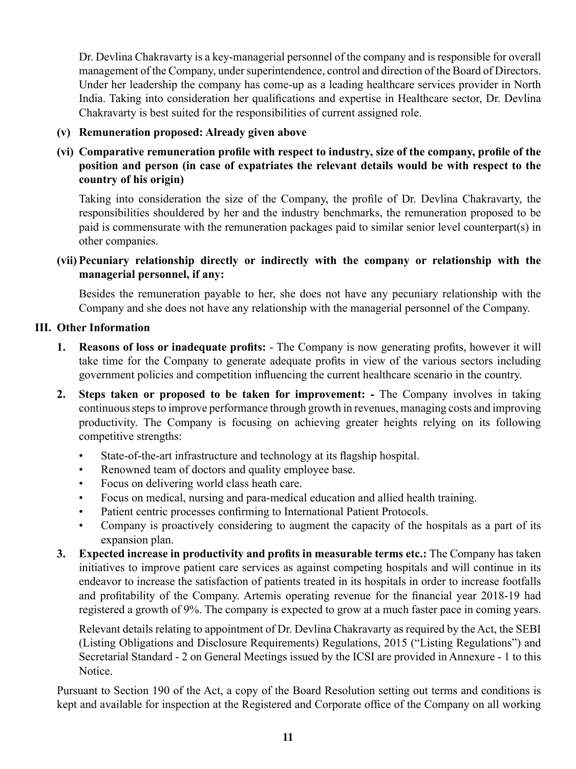Dr. Devlina Chakravarty is a key-managerial personnel of the company and is responsible for overall management of the Company, under superintendence, control and direction of the Board of Directors. Under her leadership the company has come-up as a leading healthcare services provider in North India. Taking into consideration her qualifications and expertise in Healthcare sector, Dr. Devlina Chakravarty is best suited for the responsibilities of current assigned role.

# **(v) Remuneration proposed: Already given above**

**(vi) Comparative remuneration profile with respect to industry, size of the company, profile of the position and person (in case of expatriates the relevant details would be with respect to the country of his origin)**

Taking into consideration the size of the Company, the profile of Dr. Devlina Chakravarty, the responsibilities shouldered by her and the industry benchmarks, the remuneration proposed to be paid is commensurate with the remuneration packages paid to similar senior level counterpart(s) in other companies.

# **(vii) Pecuniary relationship directly or indirectly with the company or relationship with the managerial personnel, if any:**

Besides the remuneration payable to her, she does not have any pecuniary relationship with the Company and she does not have any relationship with the managerial personnel of the Company.

#### **III. Other Information**

- **1. Reasons of loss or inadequate profits:** The Company is now generating profits, however it will take time for the Company to generate adequate profits in view of the various sectors including government policies and competition influencing the current healthcare scenario in the country.
- **2. Steps taken or proposed to be taken for improvement: -** The Company involves in taking continuous steps to improve performance through growth in revenues, managing costs and improving productivity. The Company is focusing on achieving greater heights relying on its following competitive strengths:
	- State-of-the-art infrastructure and technology at its flagship hospital.
	- Renowned team of doctors and quality employee base.
	- Focus on delivering world class heath care.
	- Focus on medical, nursing and para-medical education and allied health training.
	- Patient centric processes confirming to International Patient Protocols.
	- Company is proactively considering to augment the capacity of the hospitals as a part of its expansion plan.
- **3. Expected increase in productivity and profits in measurable terms etc.:** The Company has taken initiatives to improve patient care services as against competing hospitals and will continue in its endeavor to increase the satisfaction of patients treated in its hospitals in order to increase footfalls and profitability of the Company. Artemis operating revenue for the financial year 2018-19 had registered a growth of 9%. The company is expected to grow at a much faster pace in coming years.

Relevant details relating to appointment of Dr. Devlina Chakravarty as required by the Act, the SEBI (Listing Obligations and Disclosure Requirements) Regulations, 2015 ("Listing Regulations") and Secretarial Standard - 2 on General Meetings issued by the ICSI are provided in Annexure - 1 to this Notice.

Pursuant to Section 190 of the Act, a copy of the Board Resolution setting out terms and conditions is kept and available for inspection at the Registered and Corporate office of the Company on all working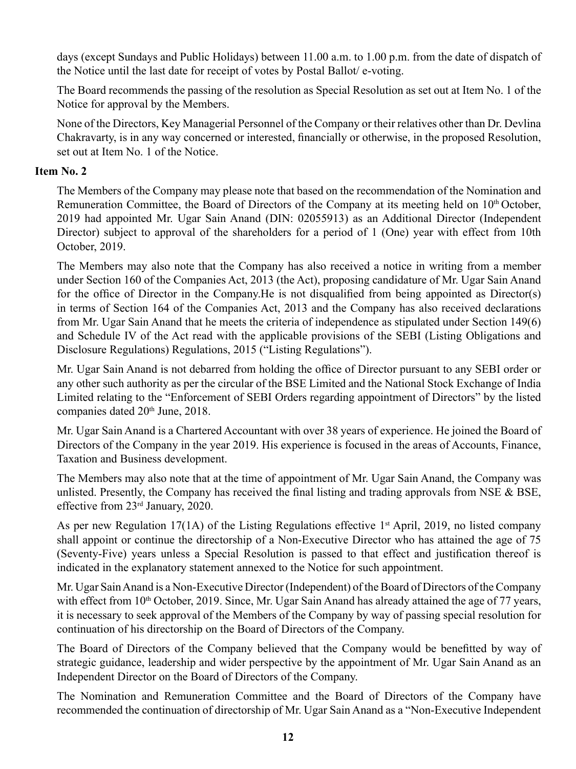days (except Sundays and Public Holidays) between 11.00 a.m. to 1.00 p.m. from the date of dispatch of the Notice until the last date for receipt of votes by Postal Ballot/ e-voting.

The Board recommends the passing of the resolution as Special Resolution as set out at Item No. 1 of the Notice for approval by the Members.

None of the Directors, Key Managerial Personnel of the Company or their relatives other than Dr. Devlina Chakravarty, is in any way concerned or interested, financially or otherwise, in the proposed Resolution, set out at Item No. 1 of the Notice.

# **Item No. 2**

The Members of the Company may please note that based on the recommendation of the Nomination and Remuneration Committee, the Board of Directors of the Company at its meeting held on  $10<sup>th</sup>$  October, 2019 had appointed Mr. Ugar Sain Anand (DIN: 02055913) as an Additional Director (Independent Director) subject to approval of the shareholders for a period of 1 (One) year with effect from 10th October, 2019.

The Members may also note that the Company has also received a notice in writing from a member under Section 160 of the Companies Act, 2013 (the Act), proposing candidature of Mr. Ugar Sain Anand for the office of Director in the Company.He is not disqualified from being appointed as Director(s) in terms of Section 164 of the Companies Act, 2013 and the Company has also received declarations from Mr. Ugar Sain Anand that he meets the criteria of independence as stipulated under Section 149(6) and Schedule IV of the Act read with the applicable provisions of the SEBI (Listing Obligations and Disclosure Regulations) Regulations, 2015 ("Listing Regulations").

Mr. Ugar Sain Anand is not debarred from holding the office of Director pursuant to any SEBI order or any other such authority as per the circular of the BSE Limited and the National Stock Exchange of India Limited relating to the "Enforcement of SEBI Orders regarding appointment of Directors" by the listed companies dated 20<sup>th</sup> June, 2018.

Mr. Ugar Sain Anand is a Chartered Accountant with over 38 years of experience. He joined the Board of Directors of the Company in the year 2019. His experience is focused in the areas of Accounts, Finance, Taxation and Business development.

The Members may also note that at the time of appointment of Mr. Ugar Sain Anand, the Company was unlisted. Presently, the Company has received the final listing and trading approvals from NSE & BSE, effective from 23rd January, 2020.

As per new Regulation 17(1A) of the Listing Regulations effective 1<sup>st</sup> April, 2019, no listed company shall appoint or continue the directorship of a Non-Executive Director who has attained the age of 75 (Seventy-Five) years unless a Special Resolution is passed to that effect and justification thereof is indicated in the explanatory statement annexed to the Notice for such appointment.

Mr. Ugar Sain Anand is a Non-Executive Director (Independent) of the Board of Directors of the Company with effect from 10<sup>th</sup> October, 2019. Since, Mr. Ugar Sain Anand has already attained the age of 77 years, it is necessary to seek approval of the Members of the Company by way of passing special resolution for continuation of his directorship on the Board of Directors of the Company.

The Board of Directors of the Company believed that the Company would be benefitted by way of strategic guidance, leadership and wider perspective by the appointment of Mr. Ugar Sain Anand as an Independent Director on the Board of Directors of the Company.

The Nomination and Remuneration Committee and the Board of Directors of the Company have recommended the continuation of directorship of Mr. Ugar Sain Anand as a "Non-Executive Independent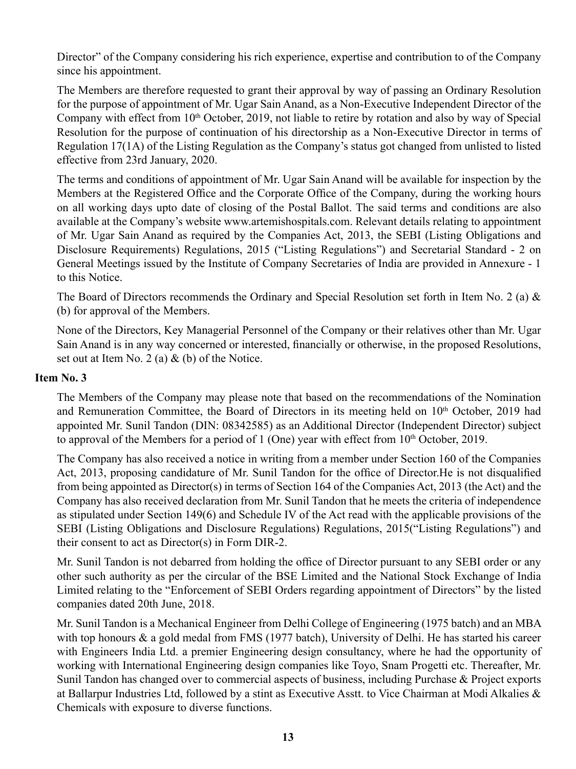Director" of the Company considering his rich experience, expertise and contribution to of the Company since his appointment.

The Members are therefore requested to grant their approval by way of passing an Ordinary Resolution for the purpose of appointment of Mr. Ugar Sain Anand, as a Non-Executive Independent Director of the Company with effect from  $10<sup>th</sup>$  October, 2019, not liable to retire by rotation and also by way of Special Resolution for the purpose of continuation of his directorship as a Non-Executive Director in terms of Regulation 17(1A) of the Listing Regulation as the Company's status got changed from unlisted to listed effective from 23rd January, 2020.

The terms and conditions of appointment of Mr. Ugar Sain Anand will be available for inspection by the Members at the Registered Office and the Corporate Office of the Company, during the working hours on all working days upto date of closing of the Postal Ballot. The said terms and conditions are also available at the Company's website www.artemishospitals.com. Relevant details relating to appointment of Mr. Ugar Sain Anand as required by the Companies Act, 2013, the SEBI (Listing Obligations and Disclosure Requirements) Regulations, 2015 ("Listing Regulations") and Secretarial Standard - 2 on General Meetings issued by the Institute of Company Secretaries of India are provided in Annexure - 1 to this Notice.

The Board of Directors recommends the Ordinary and Special Resolution set forth in Item No. 2 (a) & (b) for approval of the Members.

None of the Directors, Key Managerial Personnel of the Company or their relatives other than Mr. Ugar Sain Anand is in any way concerned or interested, financially or otherwise, in the proposed Resolutions, set out at Item No. 2 (a) & (b) of the Notice.

#### **Item No. 3**

The Members of the Company may please note that based on the recommendations of the Nomination and Remuneration Committee, the Board of Directors in its meeting held on  $10<sup>th</sup>$  October, 2019 had appointed Mr. Sunil Tandon (DIN: 08342585) as an Additional Director (Independent Director) subject to approval of the Members for a period of 1 (One) year with effect from  $10<sup>th</sup>$  October, 2019.

The Company has also received a notice in writing from a member under Section 160 of the Companies Act, 2013, proposing candidature of Mr. Sunil Tandon for the office of Director.He is not disqualified from being appointed as Director(s) in terms of Section 164 of the Companies Act, 2013 (the Act) and the Company has also received declaration from Mr. Sunil Tandon that he meets the criteria of independence as stipulated under Section 149(6) and Schedule IV of the Act read with the applicable provisions of the SEBI (Listing Obligations and Disclosure Regulations) Regulations, 2015("Listing Regulations") and their consent to act as Director(s) in Form DIR-2.

Mr. Sunil Tandon is not debarred from holding the office of Director pursuant to any SEBI order or any other such authority as per the circular of the BSE Limited and the National Stock Exchange of India Limited relating to the "Enforcement of SEBI Orders regarding appointment of Directors" by the listed companies dated 20th June, 2018.

Mr. Sunil Tandon is a Mechanical Engineer from Delhi College of Engineering (1975 batch) and an MBA with top honours & a gold medal from FMS (1977 batch), University of Delhi. He has started his career with Engineers India Ltd. a premier Engineering design consultancy, where he had the opportunity of working with International Engineering design companies like Toyo, Snam Progetti etc. Thereafter, Mr. Sunil Tandon has changed over to commercial aspects of business, including Purchase & Project exports at Ballarpur Industries Ltd, followed by a stint as Executive Asstt. to Vice Chairman at Modi Alkalies & Chemicals with exposure to diverse functions.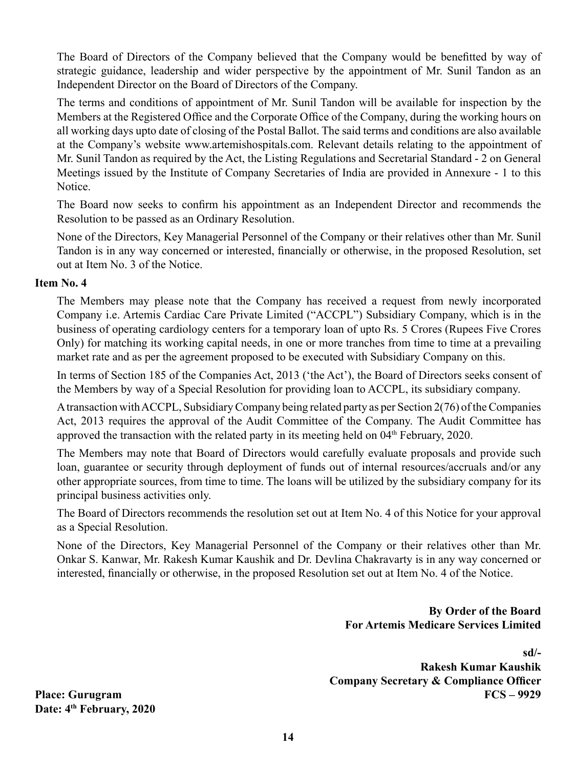The Board of Directors of the Company believed that the Company would be benefitted by way of strategic guidance, leadership and wider perspective by the appointment of Mr. Sunil Tandon as an Independent Director on the Board of Directors of the Company.

The terms and conditions of appointment of Mr. Sunil Tandon will be available for inspection by the Members at the Registered Office and the Corporate Office of the Company, during the working hours on all working days upto date of closing of the Postal Ballot. The said terms and conditions are also available at the Company's website www.artemishospitals.com. Relevant details relating to the appointment of Mr. Sunil Tandon as required by the Act, the Listing Regulations and Secretarial Standard - 2 on General Meetings issued by the Institute of Company Secretaries of India are provided in Annexure - 1 to this Notice.

The Board now seeks to confirm his appointment as an Independent Director and recommends the Resolution to be passed as an Ordinary Resolution.

None of the Directors, Key Managerial Personnel of the Company or their relatives other than Mr. Sunil Tandon is in any way concerned or interested, financially or otherwise, in the proposed Resolution, set out at Item No. 3 of the Notice.

#### **Item No. 4**

The Members may please note that the Company has received a request from newly incorporated Company i.e. Artemis Cardiac Care Private Limited ("ACCPL") Subsidiary Company, which is in the business of operating cardiology centers for a temporary loan of upto Rs. 5 Crores (Rupees Five Crores Only) for matching its working capital needs, in one or more tranches from time to time at a prevailing market rate and as per the agreement proposed to be executed with Subsidiary Company on this.

In terms of Section 185 of the Companies Act, 2013 ('the Act'), the Board of Directors seeks consent of the Members by way of a Special Resolution for providing loan to ACCPL, its subsidiary company.

A transaction with ACCPL, Subsidiary Company being related party as per Section 2(76) of the Companies Act, 2013 requires the approval of the Audit Committee of the Company. The Audit Committee has approved the transaction with the related party in its meeting held on  $04<sup>th</sup>$  February, 2020.

The Members may note that Board of Directors would carefully evaluate proposals and provide such loan, guarantee or security through deployment of funds out of internal resources/accruals and/or any other appropriate sources, from time to time. The loans will be utilized by the subsidiary company for its principal business activities only.

The Board of Directors recommends the resolution set out at Item No. 4 of this Notice for your approval as a Special Resolution.

None of the Directors, Key Managerial Personnel of the Company or their relatives other than Mr. Onkar S. Kanwar, Mr. Rakesh Kumar Kaushik and Dr. Devlina Chakravarty is in any way concerned or interested, financially or otherwise, in the proposed Resolution set out at Item No. 4 of the Notice.

> **By Order of the Board For Artemis Medicare Services Limited**

 **sd/- Rakesh Kumar Kaushik Company Secretary & Compliance Officer Place: Gurugram FCS – 9929**

**Date: 4th February, 2020**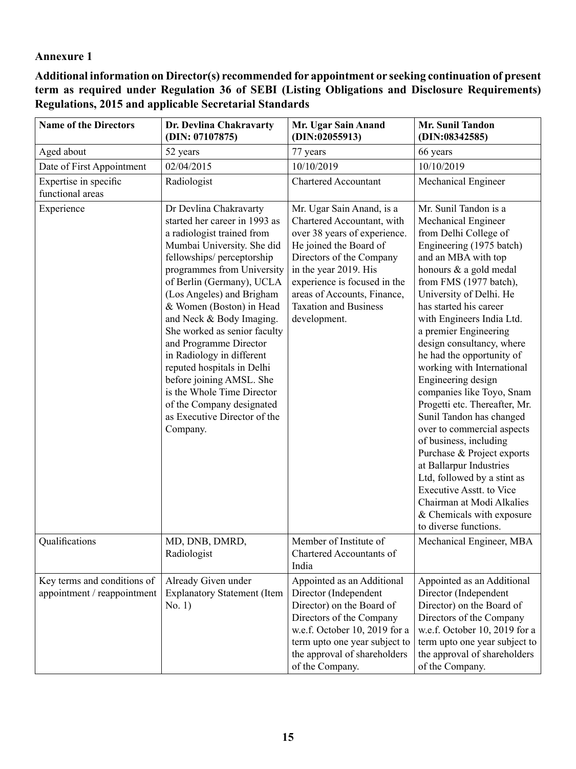# **Annexure 1**

**Additional information on Director(s) recommended for appointment or seeking continuation of present term as required under Regulation 36 of SEBI (Listing Obligations and Disclosure Requirements) Regulations, 2015 and applicable Secretarial Standards**

| <b>Name of the Directors</b>                               | Dr. Devlina Chakravarty<br>(DIN: 07107875)                                                                                                                                                                                                                                                                                                                                                                                                                                                                                                               | Mr. Ugar Sain Anand<br>(DIN:02055913)                                                                                                                                                                                                                                                 | Mr. Sunil Tandon<br>(DIN:08342585)                                                                                                                                                                                                                                                                                                                                                                                                                                                                                                                                                                                                                                                                                                                                    |
|------------------------------------------------------------|----------------------------------------------------------------------------------------------------------------------------------------------------------------------------------------------------------------------------------------------------------------------------------------------------------------------------------------------------------------------------------------------------------------------------------------------------------------------------------------------------------------------------------------------------------|---------------------------------------------------------------------------------------------------------------------------------------------------------------------------------------------------------------------------------------------------------------------------------------|-----------------------------------------------------------------------------------------------------------------------------------------------------------------------------------------------------------------------------------------------------------------------------------------------------------------------------------------------------------------------------------------------------------------------------------------------------------------------------------------------------------------------------------------------------------------------------------------------------------------------------------------------------------------------------------------------------------------------------------------------------------------------|
| Aged about                                                 | 52 years                                                                                                                                                                                                                                                                                                                                                                                                                                                                                                                                                 | 77 years                                                                                                                                                                                                                                                                              | 66 years                                                                                                                                                                                                                                                                                                                                                                                                                                                                                                                                                                                                                                                                                                                                                              |
| Date of First Appointment                                  | 02/04/2015                                                                                                                                                                                                                                                                                                                                                                                                                                                                                                                                               | 10/10/2019                                                                                                                                                                                                                                                                            | 10/10/2019                                                                                                                                                                                                                                                                                                                                                                                                                                                                                                                                                                                                                                                                                                                                                            |
| Expertise in specific<br>functional areas                  | Radiologist                                                                                                                                                                                                                                                                                                                                                                                                                                                                                                                                              | <b>Chartered Accountant</b>                                                                                                                                                                                                                                                           | Mechanical Engineer                                                                                                                                                                                                                                                                                                                                                                                                                                                                                                                                                                                                                                                                                                                                                   |
| Experience                                                 | Dr Devlina Chakravarty<br>started her career in 1993 as<br>a radiologist trained from<br>Mumbai University. She did<br>fellowships/perceptorship<br>programmes from University<br>of Berlin (Germany), UCLA<br>(Los Angeles) and Brigham<br>& Women (Boston) in Head<br>and Neck & Body Imaging.<br>She worked as senior faculty<br>and Programme Director<br>in Radiology in different<br>reputed hospitals in Delhi<br>before joining AMSL. She<br>is the Whole Time Director<br>of the Company designated<br>as Executive Director of the<br>Company. | Mr. Ugar Sain Anand, is a<br>Chartered Accountant, with<br>over 38 years of experience.<br>He joined the Board of<br>Directors of the Company<br>in the year 2019. His<br>experience is focused in the<br>areas of Accounts, Finance,<br><b>Taxation and Business</b><br>development. | Mr. Sunil Tandon is a<br>Mechanical Engineer<br>from Delhi College of<br>Engineering (1975 batch)<br>and an MBA with top<br>honours & a gold medal<br>from FMS (1977 batch),<br>University of Delhi. He<br>has started his career<br>with Engineers India Ltd.<br>a premier Engineering<br>design consultancy, where<br>he had the opportunity of<br>working with International<br>Engineering design<br>companies like Toyo, Snam<br>Progetti etc. Thereafter, Mr.<br>Sunil Tandon has changed<br>over to commercial aspects<br>of business, including<br>Purchase & Project exports<br>at Ballarpur Industries<br>Ltd, followed by a stint as<br><b>Executive Asstt.</b> to Vice<br>Chairman at Modi Alkalies<br>& Chemicals with exposure<br>to diverse functions. |
| Qualifications                                             | MD, DNB, DMRD,<br>Radiologist                                                                                                                                                                                                                                                                                                                                                                                                                                                                                                                            | Member of Institute of<br>Chartered Accountants of<br>India                                                                                                                                                                                                                           | Mechanical Engineer, MBA                                                                                                                                                                                                                                                                                                                                                                                                                                                                                                                                                                                                                                                                                                                                              |
| Key terms and conditions of<br>appointment / reappointment | Already Given under<br><b>Explanatory Statement (Item</b><br>No. 1)                                                                                                                                                                                                                                                                                                                                                                                                                                                                                      | Appointed as an Additional<br>Director (Independent<br>Director) on the Board of<br>Directors of the Company<br>w.e.f. October 10, 2019 for a<br>term upto one year subject to<br>the approval of shareholders<br>of the Company.                                                     | Appointed as an Additional<br>Director (Independent<br>Director) on the Board of<br>Directors of the Company<br>w.e.f. October 10, 2019 for a<br>term upto one year subject to<br>the approval of shareholders<br>of the Company.                                                                                                                                                                                                                                                                                                                                                                                                                                                                                                                                     |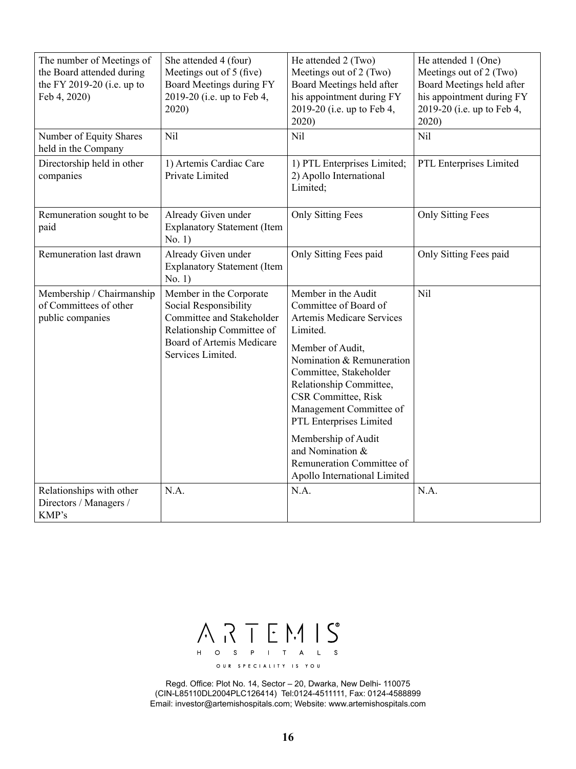| The number of Meetings of<br>the Board attended during<br>the FY 2019-20 (i.e. up to<br>Feb 4, 2020) | She attended 4 (four)<br>Meetings out of 5 (five)<br>Board Meetings during FY<br>2019-20 (i.e. up to Feb 4,<br>2020)                                         | He attended 2 (Two)<br>Meetings out of 2 (Two)<br>Board Meetings held after<br>his appointment during FY<br>2019-20 (i.e. up to Feb 4,<br>2020)                                                                                                                                                                                                                                         | He attended 1 (One)<br>Meetings out of 2 (Two)<br>Board Meetings held after<br>his appointment during FY<br>2019-20 (i.e. up to Feb 4,<br>2020) |
|------------------------------------------------------------------------------------------------------|--------------------------------------------------------------------------------------------------------------------------------------------------------------|-----------------------------------------------------------------------------------------------------------------------------------------------------------------------------------------------------------------------------------------------------------------------------------------------------------------------------------------------------------------------------------------|-------------------------------------------------------------------------------------------------------------------------------------------------|
| Number of Equity Shares<br>held in the Company                                                       | Nil                                                                                                                                                          | Nil                                                                                                                                                                                                                                                                                                                                                                                     | Nil                                                                                                                                             |
| Directorship held in other<br>companies                                                              | 1) Artemis Cardiac Care<br>Private Limited                                                                                                                   | 1) PTL Enterprises Limited;<br>2) Apollo International<br>Limited;                                                                                                                                                                                                                                                                                                                      | PTL Enterprises Limited                                                                                                                         |
| Remuneration sought to be<br>paid                                                                    | Already Given under<br><b>Explanatory Statement (Item</b><br>No. 1)                                                                                          | <b>Only Sitting Fees</b>                                                                                                                                                                                                                                                                                                                                                                | <b>Only Sitting Fees</b>                                                                                                                        |
| Remuneration last drawn                                                                              | Already Given under<br><b>Explanatory Statement (Item</b><br>No. 1)                                                                                          | Only Sitting Fees paid                                                                                                                                                                                                                                                                                                                                                                  | Only Sitting Fees paid                                                                                                                          |
| Membership / Chairmanship<br>of Committees of other<br>public companies                              | Member in the Corporate<br>Social Responsibility<br>Committee and Stakeholder<br>Relationship Committee of<br>Board of Artemis Medicare<br>Services Limited. | Member in the Audit<br>Committee of Board of<br><b>Artemis Medicare Services</b><br>Limited.<br>Member of Audit,<br>Nomination & Remuneration<br>Committee, Stakeholder<br>Relationship Committee,<br>CSR Committee, Risk<br>Management Committee of<br>PTL Enterprises Limited<br>Membership of Audit<br>and Nomination &<br>Remuneration Committee of<br>Apollo International Limited | <b>Nil</b>                                                                                                                                      |
| Relationships with other<br>Directors / Managers /<br>KMP's                                          | N.A.                                                                                                                                                         | N.A.                                                                                                                                                                                                                                                                                                                                                                                    | N.A.                                                                                                                                            |



Regd. Office: Plot No. 14, Sector – 20, Dwarka, New Delhi- 110075 (CIN-L85110DL2004PLC126414) Tel:0124-4511111, Fax: 0124-4588899 Email: investor@artemishospitals.com; Website: www.artemishospitals.com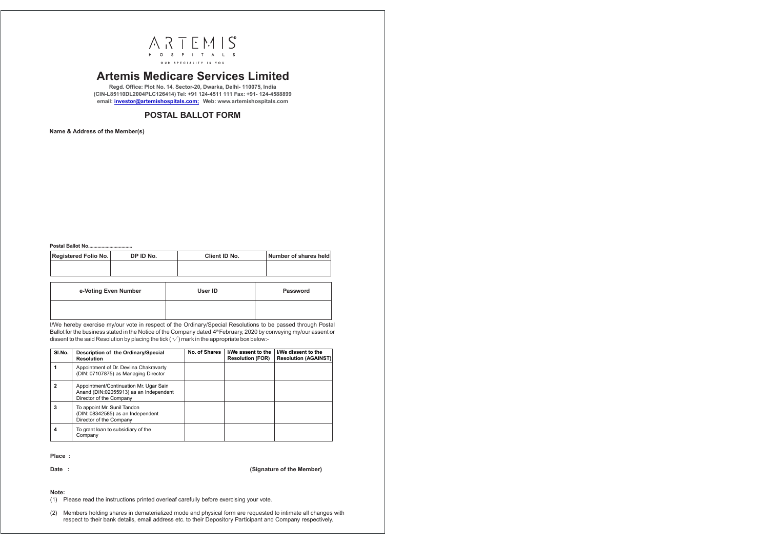

# **Artemis Medicare Services Limited**

**Regd. Office: Plot No. 14, Sector-20, Dwarka, Delhi- 110075, India (CIN-L85110DL2004PLC126414) Tel: +91 124-4511 111 Fax: +91- 124-4588899 email: [investor@artemishospitals.com;](mailto:investor@artemishospitals.com;) Web: www.artemishospitals.com**

# **POSTAL BALLOT FORM**

**Name & Address of the Member(s)**

**Postal Ballot No.................................**

| Registered Folio No. | DP ID No. | <b>Client ID No.</b> | Number of shares held |
|----------------------|-----------|----------------------|-----------------------|
|                      |           |                      |                       |
|                      |           |                      |                       |

| e-Voting Even Number | User ID | <b>Password</b> |
|----------------------|---------|-----------------|
|                      |         |                 |

I/We hereby exercise my/our vote in respect of the Ordinary/Special Resolutions to be passed through Postal Ballot for the business stated in the Notice of the Company dated 4<sup>th</sup> February, 2020 by conveying my/our assent or dissent to the said Resolution by placing the tick ( $\sqrt{ }$ ) mark in the appropriate box below:-

| SI.No. | Description of the Ordinary/Special<br><b>Resolution</b>                                                    | No. of Shares | I/We assent to the<br><b>Resolution (FOR)</b> | I/We dissent to the<br><b>Resolution (AGAINST)</b> |
|--------|-------------------------------------------------------------------------------------------------------------|---------------|-----------------------------------------------|----------------------------------------------------|
|        | Appointment of Dr. Devlina Chakravarty<br>(DIN: 07107875) as Managing Director                              |               |                                               |                                                    |
|        | Appointment/Continuation Mr. Ugar Sain<br>Anand (DIN:02055913) as an Independent<br>Director of the Company |               |                                               |                                                    |
|        | To appoint Mr. Sunil Tandon<br>(DIN: 08342585) as an Independent<br>Director of the Company                 |               |                                               |                                                    |
|        | To grant loan to subsidiary of the<br>Company                                                               |               |                                               |                                                    |

**Place :**

**Date : (Signature of the Member)**

**Note:**

(1) Please read the instructions printed overleaf carefully before exercising your vote.

(2) Members holding shares in dematerialized mode and physical form are requested to intimate all changes with respect to their bank details, email address etc. to their Depository Participant and Company respectively.